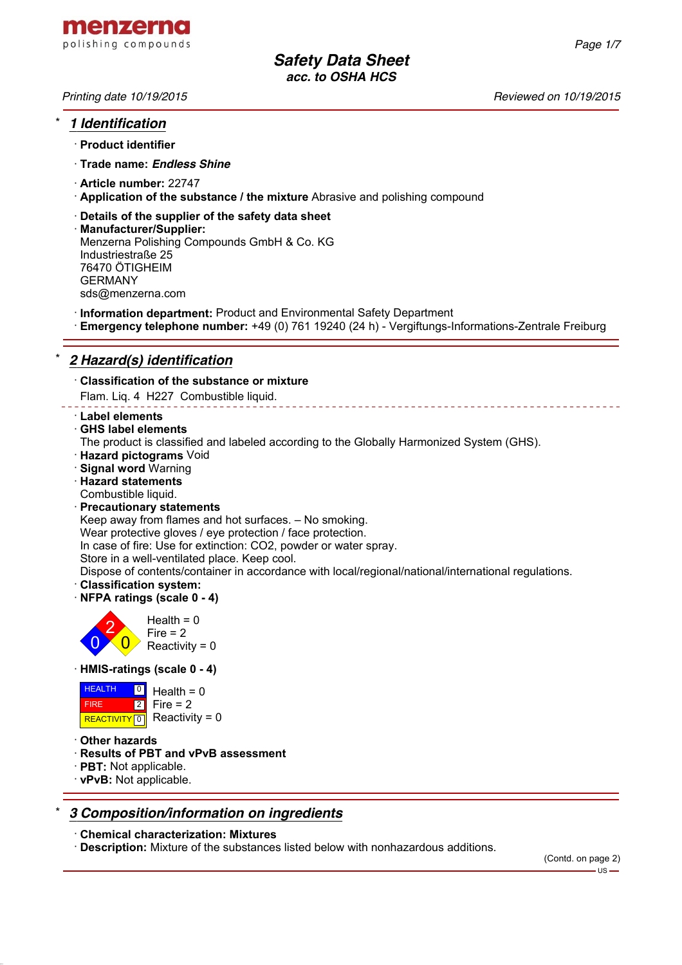

*Printing date 10/19/2015 Reviewed on 10/19/2015*

*Page 1/7*

# \* *1 Identification*

- · **Product identifier**
- · **Trade name:** *Endless Shine*
- · **Article number:** 22747
- · **Application of the substance / the mixture** Abrasive and polishing compound
- · **Details of the supplier of the safety data sheet**
- · **Manufacturer/Supplier:** Menzerna Polishing Compounds GmbH & Co. KG Industriestraße 25 76470 ÖTIGHEIM GERMANY sds@menzerna.com
- · **Information department:** Product and Environmental Safety Department
- · **Emergency telephone number:** +49 (0) 761 19240 (24 h) Vergiftungs-Informations-Zentrale Freiburg

# \* *2 Hazard(s) identification*

· **Classification of the substance or mixture**

Flam. Liq. 4 H227 Combustible liquid.

- · **Label elements**
- · **GHS label elements**
- The product is classified and labeled according to the Globally Harmonized System (GHS).
- · **Hazard pictograms** Void
- · **Signal word** Warning
- · **Hazard statements**
- Combustible liquid.
- · **Precautionary statements**

Keep away from flames and hot surfaces. – No smoking.

Wear protective gloves / eye protection / face protection.

In case of fire: Use for extinction: CO2, powder or water spray.

Store in a well-ventilated place. Keep cool.

Dispose of contents/container in accordance with local/regional/national/international regulations.

- · **Classification system:**
- · **NFPA ratings (scale 0 4)**



· **HMIS-ratings (scale 0 - 4)**

| <b>HEALTH</b> | $\overline{Q}$ Health = 0   |
|---------------|-----------------------------|
| <b>FIRE</b>   | $ 2 $ Fire = 2              |
|               | REACTIVITY 0 Reactivity = 0 |

- · **Other hazards**
- · **Results of PBT and vPvB assessment**
- · **PBT:** Not applicable.
- · **vPvB:** Not applicable.

# \* *3 Composition/information on ingredients*

· **Chemical characterization: Mixtures**

· **Description:** Mixture of the substances listed below with nonhazardous additions.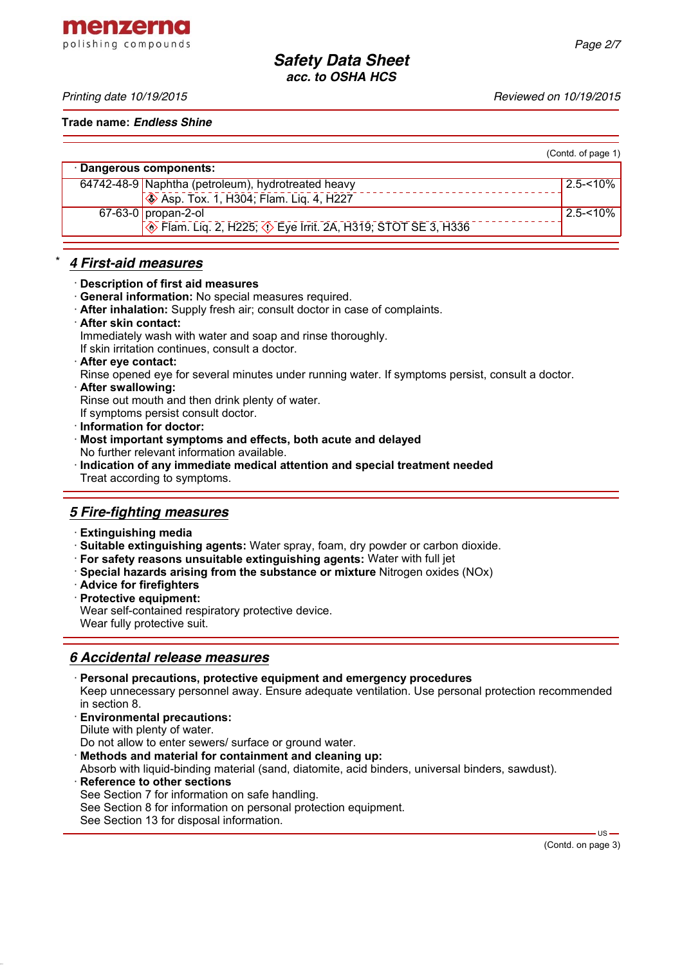menzerna polishing compounds

**Trade name:** *Endless Shine*

|                                                                                        | (Contd. of page 1) |
|----------------------------------------------------------------------------------------|--------------------|
| · Dangerous components:                                                                |                    |
| 64742-48-9 Naphtha (petroleum), hydrotreated heavy                                     | l 2.5-<10% l       |
| <b>Solution</b> Asp. Tox. 1, H304; Flam. Lig. 4, H227                                  |                    |
| $67-63-0$ propan-2-ol                                                                  | l 2.5-<10% l       |
| <b>Example 2, H225; <math>\circledcirc</math> Eye Irrit. 2A, H319; STOT SE 3, H336</b> |                    |

#### \* *4 First-aid measures*

#### · **Description of first aid measures**

- · **General information:** No special measures required.
- · **After inhalation:** Supply fresh air; consult doctor in case of complaints.
- · **After skin contact:**

Immediately wash with water and soap and rinse thoroughly.

If skin irritation continues, consult a doctor.

- · **After eye contact:**
- Rinse opened eye for several minutes under running water. If symptoms persist, consult a doctor.
- · **After swallowing:**

Rinse out mouth and then drink plenty of water.

- If symptoms persist consult doctor.
- · **Information for doctor:**
- · **Most important symptoms and effects, both acute and delayed** No further relevant information available.
- · **Indication of any immediate medical attention and special treatment needed** Treat according to symptoms.

# *5 Fire-fighting measures*

- · **Extinguishing media**
- · **Suitable extinguishing agents:** Water spray, foam, dry powder or carbon dioxide.
- · **For safety reasons unsuitable extinguishing agents:** Water with full jet
- · **Special hazards arising from the substance or mixture** Nitrogen oxides (NOx)
- · **Advice for firefighters**
- · **Protective equipment:**

Wear self-contained respiratory protective device.

Wear fully protective suit.

# *6 Accidental release measures*

- · **Personal precautions, protective equipment and emergency procedures** Keep unnecessary personnel away. Ensure adequate ventilation. Use personal protection recommended in section 8.
- · **Environmental precautions:**

Dilute with plenty of water.

- Do not allow to enter sewers/ surface or ground water.
- · **Methods and material for containment and cleaning up:**

Absorb with liquid-binding material (sand, diatomite, acid binders, universal binders, sawdust).

- **Reference to other sections**
- See Section 7 for information on safe handling.
- See Section 8 for information on personal protection equipment.
- See Section 13 for disposal information.

(Contd. on page 3)

 $US -$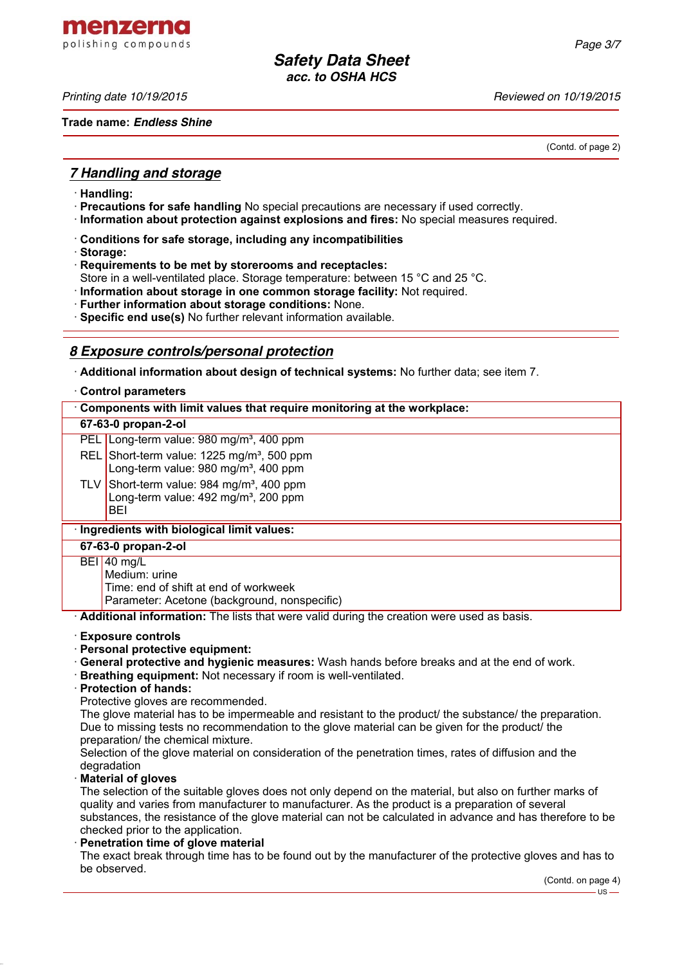menzerna polishing compounds

*Printing date 10/19/2015 Reviewed on 10/19/2015*

**Trade name:** *Endless Shine*

(Contd. of page 2)

#### *7 Handling and storage*

- · **Handling:**
- · **Precautions for safe handling** No special precautions are necessary if used correctly.
- · **Information about protection against explosions and fires:** No special measures required.
- · **Conditions for safe storage, including any incompatibilities**
- · **Storage:**
- · **Requirements to be met by storerooms and receptacles:**
- Store in a well-ventilated place. Storage temperature: between 15 °C and 25 °C.
- · **Information about storage in one common storage facility:** Not required.
- · **Further information about storage conditions:** None.
- · **Specific end use(s)** No further relevant information available.

### *8 Exposure controls/personal protection*

· **Additional information about design of technical systems:** No further data; see item 7.

#### · **Control parameters**

| 67-63-0 propan-2-ol<br>PEL Long-term value: 980 mg/m <sup>3</sup> , 400 ppm<br>REL Short-term value: 1225 mg/m <sup>3</sup> , 500 ppm |  |  |  |  |
|---------------------------------------------------------------------------------------------------------------------------------------|--|--|--|--|
|                                                                                                                                       |  |  |  |  |
|                                                                                                                                       |  |  |  |  |
| Long-term value: 980 mg/m <sup>3</sup> , 400 ppm                                                                                      |  |  |  |  |
| TLV Short-term value: $984 \text{ mg/m}^3$ , 400 ppm<br>Long-term value: 492 mg/m <sup>3</sup> , 200 ppm<br>BEI                       |  |  |  |  |
| · Ingredients with biological limit values:                                                                                           |  |  |  |  |
| 67-63-0 propan-2-ol                                                                                                                   |  |  |  |  |
| $BEI$ 40 mg/L<br>Medium: urine<br>Time: end of shift at end of workweek<br>Parameter: Acetone (background, nonspecific)               |  |  |  |  |

· **Additional information:** The lists that were valid during the creation were used as basis.

#### · **Exposure controls**

- · **Personal protective equipment:**
- · **General protective and hygienic measures:** Wash hands before breaks and at the end of work.
- · **Breathing equipment:** Not necessary if room is well-ventilated.
- · **Protection of hands:**

Protective gloves are recommended.

The glove material has to be impermeable and resistant to the product/ the substance/ the preparation. Due to missing tests no recommendation to the glove material can be given for the product/ the preparation/ the chemical mixture.

Selection of the glove material on consideration of the penetration times, rates of diffusion and the degradation

#### · **Material of gloves**

The selection of the suitable gloves does not only depend on the material, but also on further marks of quality and varies from manufacturer to manufacturer. As the product is a preparation of several substances, the resistance of the glove material can not be calculated in advance and has therefore to be checked prior to the application.

#### · **Penetration time of glove material**

The exact break through time has to be found out by the manufacturer of the protective gloves and has to be observed.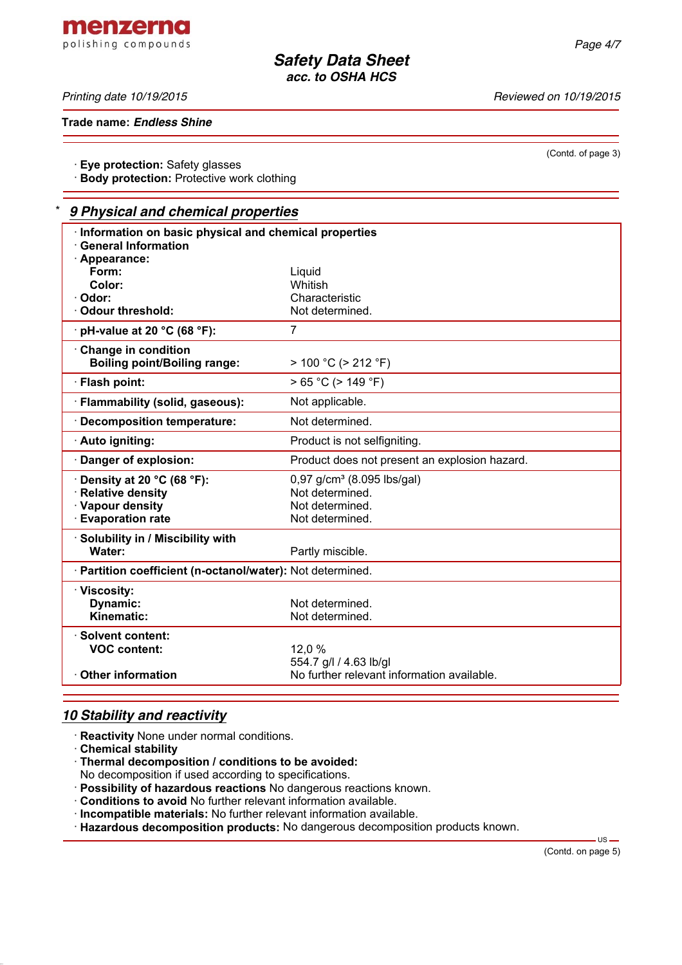*Printing date 10/19/2015 Reviewed on 10/19/2015*

menzerna polishing compounds

**Trade name:** *Endless Shine*

· **Eye protection:** Safety glasses

· **Body protection:** Protective work clothing

### \* *9 Physical and chemical properties*

| Information on basic physical and chemical properties<br><b>General Information</b><br>· Appearance: |                                               |
|------------------------------------------------------------------------------------------------------|-----------------------------------------------|
| Form:                                                                                                | Liquid                                        |
| Color:                                                                                               | Whitish                                       |
| · Odor:                                                                                              | Characteristic                                |
| · Odour threshold:                                                                                   | Not determined.                               |
| $\cdot$ pH-value at 20 °C (68 °F):                                                                   | 7                                             |
| Change in condition<br><b>Boiling point/Boiling range:</b>                                           | $> 100 °C$ ( $> 212 °F$ )                     |
| · Flash point:                                                                                       | $> 65 °C$ ( $> 149 °F$ )                      |
| · Flammability (solid, gaseous):                                                                     | Not applicable.                               |
| · Decomposition temperature:                                                                         | Not determined.                               |
| · Auto igniting:                                                                                     | Product is not selfigniting.                  |
| Danger of explosion:                                                                                 | Product does not present an explosion hazard. |
| Density at 20 °C (68 °F):                                                                            | $0,97$ g/cm <sup>3</sup> (8.095 lbs/gal)      |
| · Relative density                                                                                   | Not determined.                               |
| · Vapour density                                                                                     | Not determined.                               |
| <b>Evaporation rate</b>                                                                              | Not determined.                               |
| · Solubility in / Miscibility with                                                                   |                                               |
| Water:                                                                                               | Partly miscible.                              |
| · Partition coefficient (n-octanol/water): Not determined.                                           |                                               |
| · Viscosity:                                                                                         |                                               |
| Dynamic:                                                                                             | Not determined.                               |
| <b>Kinematic:</b>                                                                                    | Not determined.                               |
| · Solvent content:                                                                                   |                                               |
| <b>VOC content:</b>                                                                                  | 12,0%                                         |
|                                                                                                      | 554.7 g/l / 4.63 lb/gl                        |
| ⋅ Other information                                                                                  | No further relevant information available.    |
|                                                                                                      |                                               |

# *10 Stability and reactivity*

- · **Reactivity** None under normal conditions.
- · **Chemical stability**
- · **Thermal decomposition / conditions to be avoided:**
- No decomposition if used according to specifications.
- · **Possibility of hazardous reactions** No dangerous reactions known.
- · **Conditions to avoid** No further relevant information available.
- · **Incompatible materials:** No further relevant information available.
- · **Hazardous decomposition products:** No dangerous decomposition products known.

 $-$  US  $-$ 

(Contd. of page 3)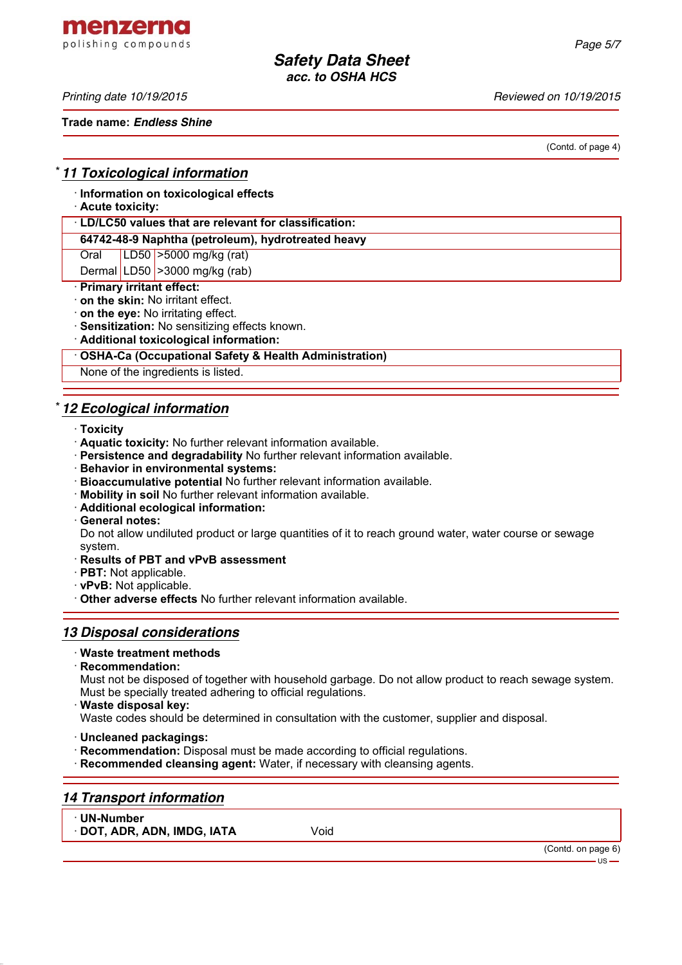menzerna polishing compounds

*Printing date 10/19/2015 Reviewed on 10/19/2015*

**Trade name:** *Endless Shine*

(Contd. of page 4)

### \* *11 Toxicological information*

· **Information on toxicological effects**

## · **Acute toxicity:**

· **LD/LC50 values that are relevant for classification:**

#### **64742-48-9 Naphtha (petroleum), hydrotreated heavy**

Oral LD50 >5000 mg/kg (rat)

Dermal LD50 > 3000 mg/kg (rab)

# · **Primary irritant effect:**

- · **on the skin:** No irritant effect.
- · **on the eye:** No irritating effect.
- · **Sensitization:** No sensitizing effects known.

· **Additional toxicological information:**

#### · **OSHA-Ca (Occupational Safety & Health Administration)**

None of the ingredients is listed.

# \* *12 Ecological information*

- · **Toxicity**
- · **Aquatic toxicity:** No further relevant information available.
- · **Persistence and degradability** No further relevant information available.
- · **Behavior in environmental systems:**
- · **Bioaccumulative potential** No further relevant information available.
- · **Mobility in soil** No further relevant information available.
- · **Additional ecological information:**
- · **General notes:**

Do not allow undiluted product or large quantities of it to reach ground water, water course or sewage system.

- · **Results of PBT and vPvB assessment**
- · **PBT:** Not applicable.
- · **vPvB:** Not applicable.
- · **Other adverse effects** No further relevant information available.

# *13 Disposal considerations*

#### · **Waste treatment methods**

· **Recommendation:**

Must not be disposed of together with household garbage. Do not allow product to reach sewage system. Must be specially treated adhering to official regulations.

· **Waste disposal key:**

Waste codes should be determined in consultation with the customer, supplier and disposal.

- · **Uncleaned packagings:**
- · **Recommendation:** Disposal must be made according to official regulations.
- · **Recommended cleansing agent:** Water, if necessary with cleansing agents.

# *14 Transport information*

- · **UN-Number**
- · **DOT, ADR, ADN, IMDG, IATA** Void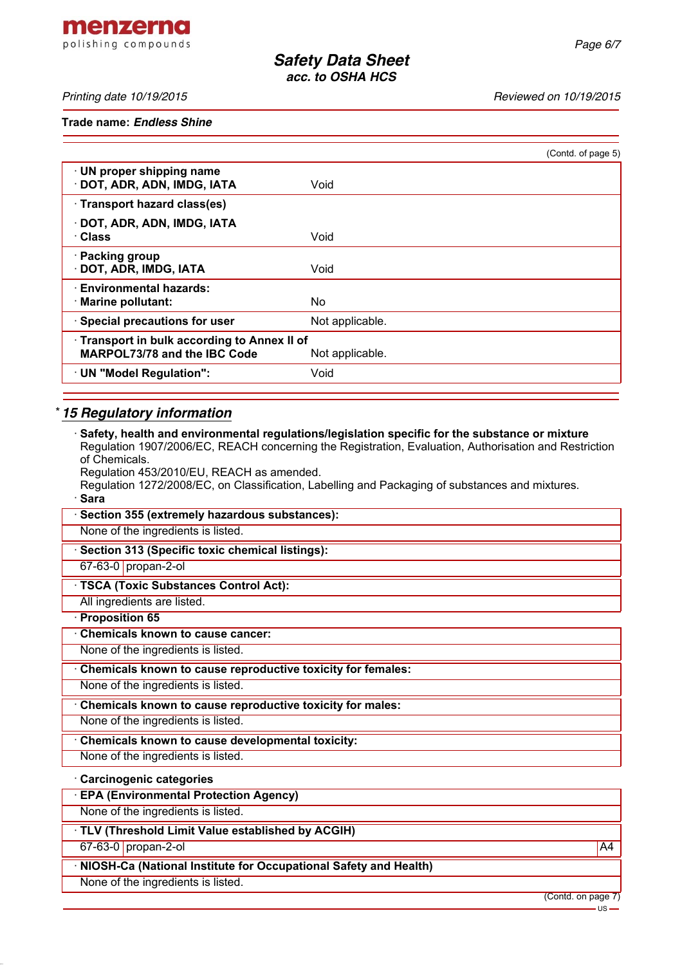menzerna polishing compounds

*Printing date 10/19/2015 Reviewed on 10/19/2015*

**Trade name:** *Endless Shine*

|                                                                                   |                 | (Contd. of page 5) |
|-----------------------------------------------------------------------------------|-----------------|--------------------|
| · UN proper shipping name<br>DOT, ADR, ADN, IMDG, IATA                            | Void            |                    |
| · Transport hazard class(es)                                                      |                 |                    |
| · DOT, ADR, ADN, IMDG, IATA<br>· Class                                            | Void            |                    |
| · Packing group<br>· DOT, ADR, IMDG, IATA                                         | Void            |                    |
| <b>Environmental hazards:</b><br>· Marine pollutant:                              | No.             |                    |
| · Special precautions for user                                                    | Not applicable. |                    |
| Transport in bulk according to Annex II of<br><b>MARPOL73/78 and the IBC Code</b> | Not applicable. |                    |
| · UN "Model Regulation":                                                          | Void            |                    |
|                                                                                   |                 |                    |

# \* *15 Regulatory information*

| $\cdot$ Safety, health and environmental regulations/legislation specific for the substance or mixture<br>Regulation 1907/2006/EC, REACH concerning the Registration, Evaluation, Authorisation and Restriction |
|-----------------------------------------------------------------------------------------------------------------------------------------------------------------------------------------------------------------|
| of Chemicals.                                                                                                                                                                                                   |
| Regulation 453/2010/EU, REACH as amended.<br>Regulation 1272/2008/EC, on Classification, Labelling and Packaging of substances and mixtures.                                                                    |
| · Sara                                                                                                                                                                                                          |
| · Section 355 (extremely hazardous substances):                                                                                                                                                                 |
| None of the ingredients is listed.                                                                                                                                                                              |
| · Section 313 (Specific toxic chemical listings):                                                                                                                                                               |
| 67-63-0 propan-2-ol                                                                                                                                                                                             |
| · TSCA (Toxic Substances Control Act):                                                                                                                                                                          |
| All ingredients are listed.                                                                                                                                                                                     |
| · Proposition 65                                                                                                                                                                                                |
| Chemicals known to cause cancer:                                                                                                                                                                                |
| None of the ingredients is listed.                                                                                                                                                                              |
| Chemicals known to cause reproductive toxicity for females:                                                                                                                                                     |
| None of the ingredients is listed.                                                                                                                                                                              |
| Chemicals known to cause reproductive toxicity for males:                                                                                                                                                       |
| None of the ingredients is listed.                                                                                                                                                                              |
| Chemicals known to cause developmental toxicity:                                                                                                                                                                |
| None of the ingredients is listed.                                                                                                                                                                              |
| · Carcinogenic categories                                                                                                                                                                                       |
| <b>EPA (Environmental Protection Agency)</b>                                                                                                                                                                    |
| None of the ingredients is listed.                                                                                                                                                                              |
| TLV (Threshold Limit Value established by ACGIH)                                                                                                                                                                |
| 67-63-0 propan-2-ol<br>A4                                                                                                                                                                                       |
| · NIOSH-Ca (National Institute for Occupational Safety and Health)                                                                                                                                              |
| None of the ingredients is listed.                                                                                                                                                                              |

(Contd. on page 7)